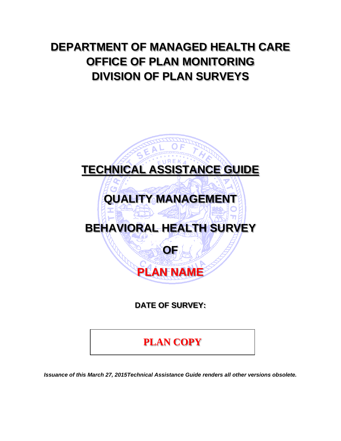## **DEPARTMENT OF MANAGED HEALTH CARE OFFICE OF PLAN MONITORING DIVISION OF PLAN SURVEYS**

# **TECHNICAL ASSISTANCE GUIDE QUALITY MANAGEMENT BEHAVIORAL HEALTH SURVEY OF PLAN NAME**

**DATE OF SURVEY:** 

**PLAN COPY**

*Issuance of this March 27, 2015Technical Assistance Guide renders all other versions obsolete.*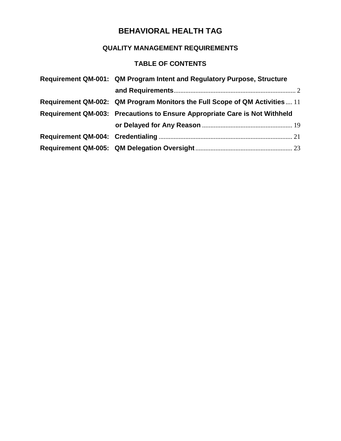## **QUALITY MANAGEMENT REQUIREMENTS**

## **TABLE OF CONTENTS**

| Requirement QM-001: QM Program Intent and Regulatory Purpose, Structure     |
|-----------------------------------------------------------------------------|
|                                                                             |
| Requirement QM-002: QM Program Monitors the Full Scope of QM Activities  11 |
| Requirement QM-003: Precautions to Ensure Appropriate Care is Not Withheld  |
|                                                                             |
|                                                                             |
|                                                                             |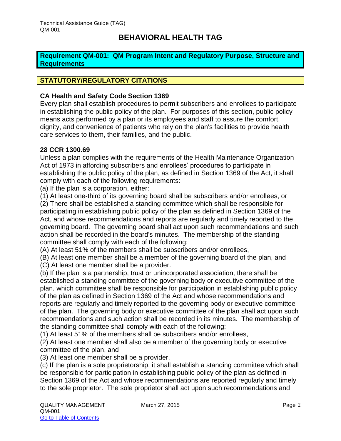#### <span id="page-2-0"></span>**Requirement QM-001: QM Program Intent and Regulatory Purpose, Structure and Requirements**

#### **STATUTORY/REGULATORY CITATIONS**

#### **CA Health and Safety Code Section 1369**

Every plan shall establish procedures to permit subscribers and enrollees to participate in establishing the public policy of the plan. For purposes of this section, public policy means acts performed by a plan or its employees and staff to assure the comfort, dignity, and convenience of patients who rely on the plan's facilities to provide health care services to them, their families, and the public.

#### **28 CCR 1300.69**

Unless a plan complies with the requirements of the Health Maintenance Organization Act of 1973 in affording subscribers and enrollees' procedures to participate in establishing the public policy of the plan, as defined in Section 1369 of the Act, it shall comply with each of the following requirements:

(a) If the plan is a corporation, either:

(1) At least one-third of its governing board shall be subscribers and/or enrollees, or

(2) There shall be established a standing committee which shall be responsible for participating in establishing public policy of the plan as defined in Section 1369 of the Act, and whose recommendations and reports are regularly and timely reported to the governing board. The governing board shall act upon such recommendations and such action shall be recorded in the board's minutes. The membership of the standing committee shall comply with each of the following:

(A) At least 51% of the members shall be subscribers and/or enrollees,

(B) At least one member shall be a member of the governing board of the plan, and

(C) At least one member shall be a provider.

(b) If the plan is a partnership, trust or unincorporated association, there shall be established a standing committee of the governing body or executive committee of the plan, which committee shall be responsible for participation in establishing public policy of the plan as defined in Section 1369 of the Act and whose recommendations and reports are regularly and timely reported to the governing body or executive committee of the plan. The governing body or executive committee of the plan shall act upon such recommendations and such action shall be recorded in its minutes. The membership of the standing committee shall comply with each of the following:

(1) At least 51% of the members shall be subscribers and/or enrollees,

(2) At least one member shall also be a member of the governing body or executive committee of the plan, and

(3) At least one member shall be a provider.

(c) If the plan is a sole proprietorship, it shall establish a standing committee which shall be responsible for participation in establishing public policy of the plan as defined in Section 1369 of the Act and whose recommendations are reported regularly and timely to the sole proprietor. The sole proprietor shall act upon such recommendations and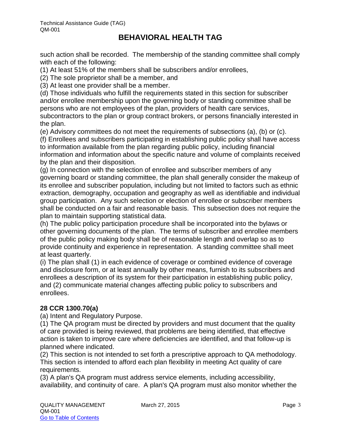such action shall be recorded. The membership of the standing committee shall comply with each of the following:

(1) At least 51% of the members shall be subscribers and/or enrollees,

(2) The sole proprietor shall be a member, and

(3) At least one provider shall be a member.

(d) Those individuals who fulfill the requirements stated in this section for subscriber and/or enrollee membership upon the governing body or standing committee shall be persons who are not employees of the plan, providers of health care services, subcontractors to the plan or group contract brokers, or persons financially interested in the plan.

(e) Advisory committees do not meet the requirements of subsections (a), (b) or (c).

(f) Enrollees and subscribers participating in establishing public policy shall have access to information available from the plan regarding public policy, including financial information and information about the specific nature and volume of complaints received by the plan and their disposition.

(g) In connection with the selection of enrollee and subscriber members of any governing board or standing committee, the plan shall generally consider the makeup of its enrollee and subscriber population, including but not limited to factors such as ethnic extraction, demography, occupation and geography as well as identifiable and individual group participation. Any such selection or election of enrollee or subscriber members shall be conducted on a fair and reasonable basis. This subsection does not require the plan to maintain supporting statistical data.

(h) The public policy participation procedure shall be incorporated into the bylaws or other governing documents of the plan. The terms of subscriber and enrollee members of the public policy making body shall be of reasonable length and overlap so as to provide continuity and experience in representation. A standing committee shall meet at least quarterly.

(i) The plan shall (1) in each evidence of coverage or combined evidence of coverage and disclosure form, or at least annually by other means, furnish to its subscribers and enrollees a description of its system for their participation in establishing public policy, and (2) communicate material changes affecting public policy to subscribers and enrollees.

#### **28 CCR 1300.70(a)**

(a) Intent and Regulatory Purpose.

(1) The QA program must be directed by providers and must document that the quality of care provided is being reviewed, that problems are being identified, that effective action is taken to improve care where deficiencies are identified, and that follow-up is planned where indicated.

(2) This section is not intended to set forth a prescriptive approach to QA methodology. This section is intended to afford each plan flexibility in meeting Act quality of care requirements.

(3) A plan's QA program must address service elements, including accessibility, availability, and continuity of care. A plan's QA program must also monitor whether the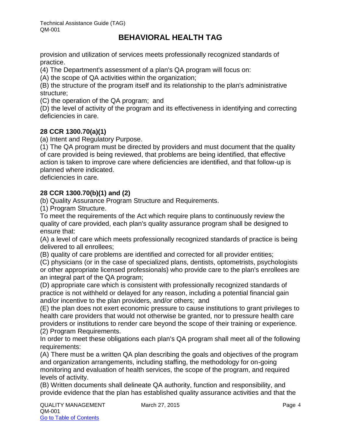provision and utilization of services meets professionally recognized standards of practice.

(4) The Department's assessment of a plan's QA program will focus on:

(A) the scope of QA activities within the organization;

(B) the structure of the program itself and its relationship to the plan's administrative structure;

(C) the operation of the QA program; and

(D) the level of activity of the program and its effectiveness in identifying and correcting deficiencies in care.

#### **28 CCR 1300.70(a)(1)**

(a) Intent and Regulatory Purpose.

(1) The QA program must be directed by providers and must document that the quality of care provided is being reviewed, that problems are being identified, that effective action is taken to improve care where deficiencies are identified, and that follow-up is planned where indicated.

deficiencies in care.

#### **28 CCR 1300.70(b)(1) and (2)**

(b) Quality Assurance Program Structure and Requirements.

(1) Program Structure.

To meet the requirements of the Act which require plans to continuously review the quality of care provided, each plan's quality assurance program shall be designed to ensure that:

(A) a level of care which meets professionally recognized standards of practice is being delivered to all enrollees;

(B) quality of care problems are identified and corrected for all provider entities;

(C) physicians (or in the case of specialized plans, dentists, optometrists, psychologists or other appropriate licensed professionals) who provide care to the plan's enrollees are an integral part of the QA program;

(D) appropriate care which is consistent with professionally recognized standards of practice is not withheld or delayed for any reason, including a potential financial gain and/or incentive to the plan providers, and/or others; and

(E) the plan does not exert economic pressure to cause institutions to grant privileges to health care providers that would not otherwise be granted, nor to pressure health care providers or institutions to render care beyond the scope of their training or experience. (2) Program Requirements.

In order to meet these obligations each plan's QA program shall meet all of the following requirements:

(A) There must be a written QA plan describing the goals and objectives of the program and organization arrangements, including staffing, the methodology for on-going monitoring and evaluation of health services, the scope of the program, and required levels of activity.

(B) Written documents shall delineate QA authority, function and responsibility, and provide evidence that the plan has established quality assurance activities and that the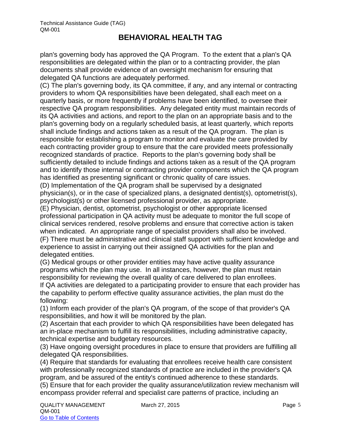plan's governing body has approved the QA Program. To the extent that a plan's QA responsibilities are delegated within the plan or to a contracting provider, the plan documents shall provide evidence of an oversight mechanism for ensuring that delegated QA functions are adequately performed.

(C) The plan's governing body, its QA committee, if any, and any internal or contracting providers to whom QA responsibilities have been delegated, shall each meet on a quarterly basis, or more frequently if problems have been identified, to oversee their respective QA program responsibilities. Any delegated entity must maintain records of its QA activities and actions, and report to the plan on an appropriate basis and to the plan's governing body on a regularly scheduled basis, at least quarterly, which reports shall include findings and actions taken as a result of the QA program. The plan is responsible for establishing a program to monitor and evaluate the care provided by each contracting provider group to ensure that the care provided meets professionally recognized standards of practice. Reports to the plan's governing body shall be sufficiently detailed to include findings and actions taken as a result of the QA program and to identify those internal or contracting provider components which the QA program has identified as presenting significant or chronic quality of care issues.

(D) Implementation of the QA program shall be supervised by a designated physician(s), or in the case of specialized plans, a designated dentist(s), optometrist(s), psychologist(s) or other licensed professional provider, as appropriate.

(E) Physician, dentist, optometrist, psychologist or other appropriate licensed professional participation in QA activity must be adequate to monitor the full scope of clinical services rendered, resolve problems and ensure that corrective action is taken when indicated. An appropriate range of specialist providers shall also be involved. (F) There must be administrative and clinical staff support with sufficient knowledge and experience to assist in carrying out their assigned QA activities for the plan and delegated entities.

(G) Medical groups or other provider entities may have active quality assurance programs which the plan may use. In all instances, however, the plan must retain responsibility for reviewing the overall quality of care delivered to plan enrollees.

If QA activities are delegated to a participating provider to ensure that each provider has the capability to perform effective quality assurance activities, the plan must do the following:

(1) Inform each provider of the plan's QA program, of the scope of that provider's QA responsibilities, and how it will be monitored by the plan.

(2) Ascertain that each provider to which QA responsibilities have been delegated has an in-place mechanism to fulfill its responsibilities, including administrative capacity, technical expertise and budgetary resources.

(3) Have ongoing oversight procedures in place to ensure that providers are fulfilling all delegated QA responsibilities.

(4) Require that standards for evaluating that enrollees receive health care consistent with professionally recognized standards of practice are included in the provider's QA program, and be assured of the entity's continued adherence to these standards. (5) Ensure that for each provider the quality assurance/utilization review mechanism will encompass provider referral and specialist care patterns of practice, including an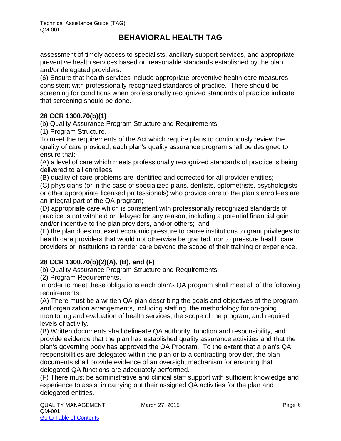assessment of timely access to specialists, ancillary support services, and appropriate preventive health services based on reasonable standards established by the plan and/or delegated providers.

(6) Ensure that health services include appropriate preventive health care measures consistent with professionally recognized standards of practice. There should be screening for conditions when professionally recognized standards of practice indicate that screening should be done.

#### **28 CCR 1300.70(b)(1)**

(b) Quality Assurance Program Structure and Requirements.

(1) Program Structure.

To meet the requirements of the Act which require plans to continuously review the quality of care provided, each plan's quality assurance program shall be designed to ensure that:

(A) a level of care which meets professionally recognized standards of practice is being delivered to all enrollees;

(B) quality of care problems are identified and corrected for all provider entities;

(C) physicians (or in the case of specialized plans, dentists, optometrists, psychologists or other appropriate licensed professionals) who provide care to the plan's enrollees are an integral part of the QA program;

(D) appropriate care which is consistent with professionally recognized standards of practice is not withheld or delayed for any reason, including a potential financial gain and/or incentive to the plan providers, and/or others; and

(E) the plan does not exert economic pressure to cause institutions to grant privileges to health care providers that would not otherwise be granted, nor to pressure health care providers or institutions to render care beyond the scope of their training or experience.

#### **28 CCR 1300.70(b)(2)(A), (B), and (F)**

(b) Quality Assurance Program Structure and Requirements.

(2) Program Requirements.

In order to meet these obligations each plan's QA program shall meet all of the following requirements:

(A) There must be a written QA plan describing the goals and objectives of the program and organization arrangements, including staffing, the methodology for on-going monitoring and evaluation of health services, the scope of the program, and required levels of activity.

(B) Written documents shall delineate QA authority, function and responsibility, and provide evidence that the plan has established quality assurance activities and that the plan's governing body has approved the QA Program. To the extent that a plan's QA responsibilities are delegated within the plan or to a contracting provider, the plan documents shall provide evidence of an oversight mechanism for ensuring that delegated QA functions are adequately performed.

(F) There must be administrative and clinical staff support with sufficient knowledge and experience to assist in carrying out their assigned QA activities for the plan and delegated entities.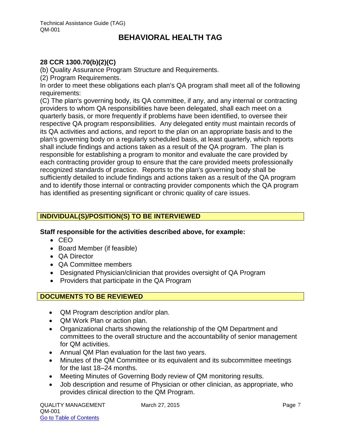#### **28 CCR 1300.70(b)(2)(C)**

(b) Quality Assurance Program Structure and Requirements.

(2) Program Requirements.

In order to meet these obligations each plan's QA program shall meet all of the following requirements:

(C) The plan's governing body, its QA committee, if any, and any internal or contracting providers to whom QA responsibilities have been delegated, shall each meet on a quarterly basis, or more frequently if problems have been identified, to oversee their respective QA program responsibilities. Any delegated entity must maintain records of its QA activities and actions, and report to the plan on an appropriate basis and to the plan's governing body on a regularly scheduled basis, at least quarterly, which reports shall include findings and actions taken as a result of the QA program. The plan is responsible for establishing a program to monitor and evaluate the care provided by each contracting provider group to ensure that the care provided meets professionally recognized standards of practice. Reports to the plan's governing body shall be sufficiently detailed to include findings and actions taken as a result of the QA program and to identify those internal or contracting provider components which the QA program has identified as presenting significant or chronic quality of care issues.

#### **INDIVIDUAL(S)/POSITION(S) TO BE INTERVIEWED**

#### **Staff responsible for the activities described above, for example:**

- $\bullet$  CFO
- Board Member (if feasible)
- QA Director
- **QA Committee members**
- Designated Physician/clinician that provides oversight of QA Program
- Providers that participate in the QA Program

#### **DOCUMENTS TO BE REVIEWED**

- QM Program description and/or plan.
- QM Work Plan or action plan.
- Organizational charts showing the relationship of the QM Department and committees to the overall structure and the accountability of senior management for QM activities.
- Annual QM Plan evaluation for the last two years.
- Minutes of the QM Committee or its equivalent and its subcommittee meetings for the last 18–24 months.
- Meeting Minutes of Governing Body review of QM monitoring results.
- Job description and resume of Physician or other clinician, as appropriate, who provides clinical direction to the QM Program.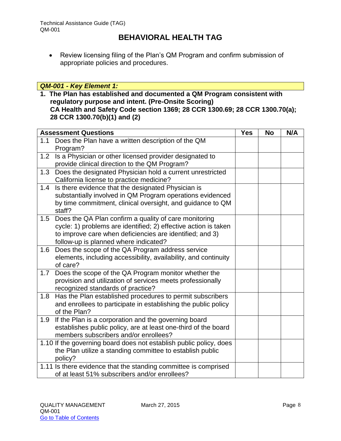Review licensing filing of the Plan's QM Program and confirm submission of appropriate policies and procedures.

#### *QM-001 - Key Element 1:*

**1. The Plan has established and documented a QM Program consistent with regulatory purpose and intent. (Pre-Onsite Scoring) CA Health and Safety Code section 1369; 28 CCR 1300.69; 28 CCR 1300.70(a); 28 CCR 1300.70(b)(1) and (2)** 

|                     | <b>Assessment Questions</b>                                                                                                                                                                                                   | <b>Yes</b> | <b>No</b> | N/A |
|---------------------|-------------------------------------------------------------------------------------------------------------------------------------------------------------------------------------------------------------------------------|------------|-----------|-----|
| Program?            | 1.1 Does the Plan have a written description of the QM                                                                                                                                                                        |            |           |     |
|                     | 1.2 Is a Physician or other licensed provider designated to<br>provide clinical direction to the QM Program?                                                                                                                  |            |           |     |
| 1.3                 | Does the designated Physician hold a current unrestricted<br>California license to practice medicine?                                                                                                                         |            |           |     |
| 1.4<br>staff?       | Is there evidence that the designated Physician is<br>substantially involved in QM Program operations evidenced<br>by time commitment, clinical oversight, and guidance to QM                                                 |            |           |     |
| 1.5                 | Does the QA Plan confirm a quality of care monitoring<br>cycle: 1) problems are identified; 2) effective action is taken<br>to improve care when deficiencies are identified; and 3)<br>follow-up is planned where indicated? |            |           |     |
| $1.6\,$<br>of care? | Does the scope of the QA Program address service<br>elements, including accessibility, availability, and continuity                                                                                                           |            |           |     |
| 1.7                 | Does the scope of the QA Program monitor whether the<br>provision and utilization of services meets professionally<br>recognized standards of practice?                                                                       |            |           |     |
| 1.8<br>of the Plan? | Has the Plan established procedures to permit subscribers<br>and enrollees to participate in establishing the public policy                                                                                                   |            |           |     |
| 1.9                 | If the Plan is a corporation and the governing board<br>establishes public policy, are at least one-third of the board<br>members subscribers and/or enrollees?                                                               |            |           |     |
| policy?             | 1.10 If the governing board does not establish public policy, does<br>the Plan utilize a standing committee to establish public                                                                                               |            |           |     |
|                     | 1.11 Is there evidence that the standing committee is comprised<br>of at least 51% subscribers and/or enrollees?                                                                                                              |            |           |     |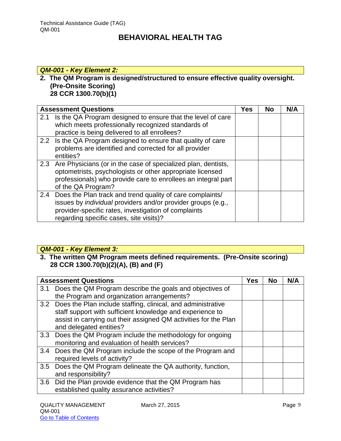#### *QM-001 - Key Element 2:*

#### **2. The QM Program is designed/structured to ensure effective quality oversight. (Pre-Onsite Scoring) 28 CCR 1300.70(b)(1)**

|     | <b>Assessment Questions</b>                                                                                                                                                                                                             | <b>Yes</b> | <b>No</b> | N/A |
|-----|-----------------------------------------------------------------------------------------------------------------------------------------------------------------------------------------------------------------------------------------|------------|-----------|-----|
| 2.1 | Is the QA Program designed to ensure that the level of care<br>which meets professionally recognized standards of<br>practice is being delivered to all enrollees?                                                                      |            |           |     |
|     | 2.2 Is the QA Program designed to ensure that quality of care<br>problems are identified and corrected for all provider<br>entities?                                                                                                    |            |           |     |
|     | 2.3 Are Physicians (or in the case of specialized plan, dentists,<br>optometrists, psychologists or other appropriate licensed<br>professionals) who provide care to enrollees an integral part<br>of the QA Program?                   |            |           |     |
|     | 2.4 Does the Plan track and trend quality of care complaints/<br>issues by <i>individual</i> providers and/or provider groups (e.g.,<br>provider-specific rates, investigation of complaints<br>regarding specific cases, site visits)? |            |           |     |

## *QM-001 - Key Element 3:*

#### **3. The written QM Program meets defined requirements. (Pre-Onsite scoring) 28 CCR 1300.70(b)(2)(A), (B) and (F)**

|     | <b>Assessment Questions</b>                                      |  | No | N/A |
|-----|------------------------------------------------------------------|--|----|-----|
| 3.1 | Does the QM Program describe the goals and objectives of         |  |    |     |
|     | the Program and organization arrangements?                       |  |    |     |
|     | 3.2 Does the Plan include staffing, clinical, and administrative |  |    |     |
|     | staff support with sufficient knowledge and experience to        |  |    |     |
|     | assist in carrying out their assigned QM activities for the Plan |  |    |     |
|     | and delegated entities?                                          |  |    |     |
| 3.3 | Does the QM Program include the methodology for ongoing          |  |    |     |
|     | monitoring and evaluation of health services?                    |  |    |     |
|     | 3.4 Does the QM Program include the scope of the Program and     |  |    |     |
|     | required levels of activity?                                     |  |    |     |
| 3.5 | Does the QM Program delineate the QA authority, function,        |  |    |     |
|     | and responsibility?                                              |  |    |     |
|     | 3.6 Did the Plan provide evidence that the QM Program has        |  |    |     |
|     | established quality assurance activities?                        |  |    |     |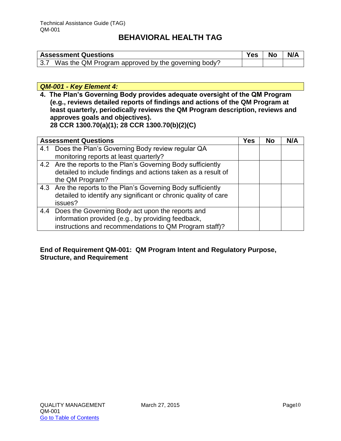| <b>Assessment Questions</b> |                                                        | <b>Yes</b> | <b>No</b> | N/A |
|-----------------------------|--------------------------------------------------------|------------|-----------|-----|
|                             | 3.7 Was the QM Program approved by the governing body? |            |           |     |

*QM-001 - Key Element 4:*

**4. The Plan's Governing Body provides adequate oversight of the QM Program (e.g., reviews detailed reports of findings and actions of the QM Program at least quarterly, periodically reviews the QM Program description, reviews and approves goals and objectives). 28 CCR 1300.70(a)(1); 28 CCR 1300.70(b)(2)(C)**

| <b>Assessment Questions</b> |                                                                 | <b>Yes</b> | <b>No</b> | N/A |
|-----------------------------|-----------------------------------------------------------------|------------|-----------|-----|
| 4.1                         | Does the Plan's Governing Body review regular QA                |            |           |     |
|                             | monitoring reports at least quarterly?                          |            |           |     |
|                             | 4.2 Are the reports to the Plan's Governing Body sufficiently   |            |           |     |
|                             | detailed to include findings and actions taken as a result of   |            |           |     |
| the QM Program?             |                                                                 |            |           |     |
|                             | 4.3 Are the reports to the Plan's Governing Body sufficiently   |            |           |     |
|                             | detailed to identify any significant or chronic quality of care |            |           |     |
| issues?                     |                                                                 |            |           |     |
| 4.4                         | Does the Governing Body act upon the reports and                |            |           |     |
|                             | information provided (e.g., by providing feedback,              |            |           |     |
|                             | instructions and recommendations to QM Program staff)?          |            |           |     |

#### **End of Requirement QM-001: QM Program Intent and Regulatory Purpose, Structure, and Requirement**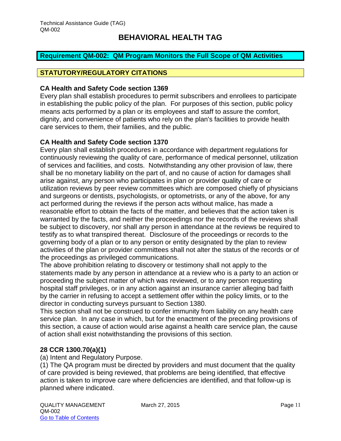#### <span id="page-11-0"></span>**Requirement QM-002: QM Program Monitors the Full Scope of QM Activities**

#### **STATUTORY/REGULATORY CITATIONS**

#### **CA Health and Safety Code section 1369**

Every plan shall establish procedures to permit subscribers and enrollees to participate in establishing the public policy of the plan. For purposes of this section, public policy means acts performed by a plan or its employees and staff to assure the comfort, dignity, and convenience of patients who rely on the plan's facilities to provide health care services to them, their families, and the public.

#### **CA Health and Safety Code section 1370**

Every plan shall establish procedures in accordance with department regulations for continuously reviewing the quality of care, performance of medical personnel, utilization of services and facilities, and costs. Notwithstanding any other provision of law, there shall be no monetary liability on the part of, and no cause of action for damages shall arise against, any person who participates in plan or provider quality of care or utilization reviews by peer review committees which are composed chiefly of physicians and surgeons or dentists, psychologists, or optometrists, or any of the above, for any act performed during the reviews if the person acts without malice, has made a reasonable effort to obtain the facts of the matter, and believes that the action taken is warranted by the facts, and neither the proceedings nor the records of the reviews shall be subject to discovery, nor shall any person in attendance at the reviews be required to testify as to what transpired thereat. Disclosure of the proceedings or records to the governing body of a plan or to any person or entity designated by the plan to review activities of the plan or provider committees shall not alter the status of the records or of the proceedings as privileged communications.

The above prohibition relating to discovery or testimony shall not apply to the statements made by any person in attendance at a review who is a party to an action or proceeding the subject matter of which was reviewed, or to any person requesting hospital staff privileges, or in any action against an insurance carrier alleging bad faith by the carrier in refusing to accept a settlement offer within the policy limits, or to the director in conducting surveys pursuant to Section 1380.

This section shall not be construed to confer immunity from liability on any health care service plan. In any case in which, but for the enactment of the preceding provisions of this section, a cause of action would arise against a health care service plan, the cause of action shall exist notwithstanding the provisions of this section.

#### **28 CCR 1300.70(a)(1)**

(a) Intent and Regulatory Purpose.

(1) The QA program must be directed by providers and must document that the quality of care provided is being reviewed, that problems are being identified, that effective action is taken to improve care where deficiencies are identified, and that follow-up is planned where indicated.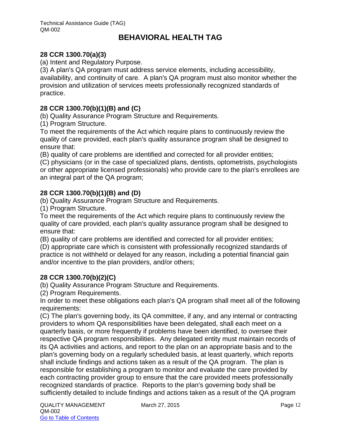#### **28 CCR 1300.70(a)(3)**

(a) Intent and Regulatory Purpose.

(3) A plan's QA program must address service elements, including accessibility, availability, and continuity of care. A plan's QA program must also monitor whether the provision and utilization of services meets professionally recognized standards of practice.

#### **28 CCR 1300.70(b)(1)(B) and (C)**

(b) Quality Assurance Program Structure and Requirements.

(1) Program Structure.

To meet the requirements of the Act which require plans to continuously review the quality of care provided, each plan's quality assurance program shall be designed to ensure that:

(B) quality of care problems are identified and corrected for all provider entities;

(C) physicians (or in the case of specialized plans, dentists, optometrists, psychologists or other appropriate licensed professionals) who provide care to the plan's enrollees are an integral part of the QA program;

#### **28 CCR 1300.70(b)(1)(B) and (D)**

(b) Quality Assurance Program Structure and Requirements.

(1) Program Structure.

To meet the requirements of the Act which require plans to continuously review the quality of care provided, each plan's quality assurance program shall be designed to ensure that:

(B) quality of care problems are identified and corrected for all provider entities;

(D) appropriate care which is consistent with professionally recognized standards of practice is not withheld or delayed for any reason, including a potential financial gain and/or incentive to the plan providers, and/or others;

#### **28 CCR 1300.70(b)(2)(C)**

(b) Quality Assurance Program Structure and Requirements.

(2) Program Requirements.

In order to meet these obligations each plan's QA program shall meet all of the following requirements:

(C) The plan's governing body, its QA committee, if any, and any internal or contracting providers to whom QA responsibilities have been delegated, shall each meet on a quarterly basis, or more frequently if problems have been identified, to oversee their respective QA program responsibilities. Any delegated entity must maintain records of its QA activities and actions, and report to the plan on an appropriate basis and to the plan's governing body on a regularly scheduled basis, at least quarterly, which reports shall include findings and actions taken as a result of the QA program. The plan is responsible for establishing a program to monitor and evaluate the care provided by each contracting provider group to ensure that the care provided meets professionally recognized standards of practice. Reports to the plan's governing body shall be sufficiently detailed to include findings and actions taken as a result of the QA program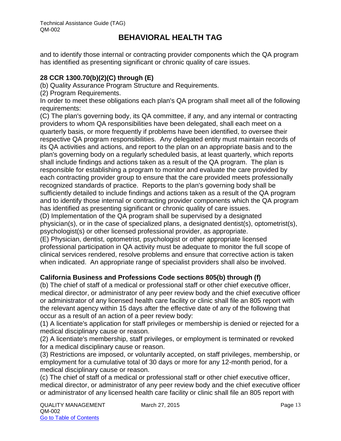and to identify those internal or contracting provider components which the QA program has identified as presenting significant or chronic quality of care issues.

#### **28 CCR 1300.70(b)(2)(C) through (E)**

(b) Quality Assurance Program Structure and Requirements.

(2) Program Requirements.

In order to meet these obligations each plan's QA program shall meet all of the following requirements:

(C) The plan's governing body, its QA committee, if any, and any internal or contracting providers to whom QA responsibilities have been delegated, shall each meet on a quarterly basis, or more frequently if problems have been identified, to oversee their respective QA program responsibilities. Any delegated entity must maintain records of its QA activities and actions, and report to the plan on an appropriate basis and to the plan's governing body on a regularly scheduled basis, at least quarterly, which reports shall include findings and actions taken as a result of the QA program. The plan is responsible for establishing a program to monitor and evaluate the care provided by each contracting provider group to ensure that the care provided meets professionally recognized standards of practice. Reports to the plan's governing body shall be sufficiently detailed to include findings and actions taken as a result of the QA program and to identify those internal or contracting provider components which the QA program has identified as presenting significant or chronic quality of care issues.

(D) Implementation of the QA program shall be supervised by a designated physician(s), or in the case of specialized plans, a designated dentist(s), optometrist(s), psychologist(s) or other licensed professional provider, as appropriate.

(E) Physician, dentist, optometrist, psychologist or other appropriate licensed professional participation in QA activity must be adequate to monitor the full scope of clinical services rendered, resolve problems and ensure that corrective action is taken when indicated. An appropriate range of specialist providers shall also be involved.

#### **California Business and Professions Code sections 805(b) through (f)**

(b) The chief of staff of a medical or professional staff or other chief executive officer, medical director, or administrator of any peer review body and the chief executive officer or administrator of any licensed health care facility or clinic shall file an 805 report with the relevant agency within 15 days after the effective date of any of the following that occur as a result of an action of a peer review body:

(1) A licentiate's application for staff privileges or membership is denied or rejected for a medical disciplinary cause or reason.

(2) A licentiate's membership, staff privileges, or employment is terminated or revoked for a medical disciplinary cause or reason.

(3) Restrictions are imposed, or voluntarily accepted, on staff privileges, membership, or employment for a cumulative total of 30 days or more for any 12-month period, for a medical disciplinary cause or reason.

(c) The chief of staff of a medical or professional staff or other chief executive officer, medical director, or administrator of any peer review body and the chief executive officer or administrator of any licensed health care facility or clinic shall file an 805 report with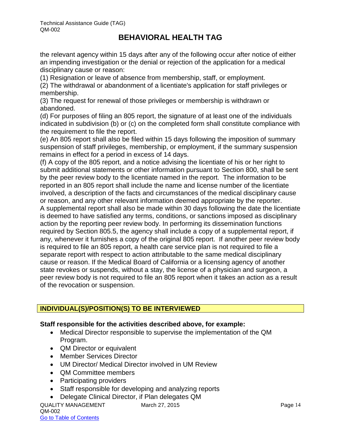the relevant agency within 15 days after any of the following occur after notice of either an impending investigation or the denial or rejection of the application for a medical disciplinary cause or reason:

(1) Resignation or leave of absence from membership, staff, or employment.

(2) The withdrawal or abandonment of a licentiate's application for staff privileges or membership.

(3) The request for renewal of those privileges or membership is withdrawn or abandoned.

(d) For purposes of filing an 805 report, the signature of at least one of the individuals indicated in subdivision (b) or (c) on the completed form shall constitute compliance with the requirement to file the report.

(e) An 805 report shall also be filed within 15 days following the imposition of summary suspension of staff privileges, membership, or employment, if the summary suspension remains in effect for a period in excess of 14 days.

(f) A copy of the 805 report, and a notice advising the licentiate of his or her right to submit additional statements or other information pursuant to Section 800, shall be sent by the peer review body to the licentiate named in the report. The information to be reported in an 805 report shall include the name and license number of the licentiate involved, a description of the facts and circumstances of the medical disciplinary cause or reason, and any other relevant information deemed appropriate by the reporter. A supplemental report shall also be made within 30 days following the date the licentiate is deemed to have satisfied any terms, conditions, or sanctions imposed as disciplinary action by the reporting peer review body. In performing its dissemination functions required by Section 805.5, the agency shall include a copy of a supplemental report, if any, whenever it furnishes a copy of the original 805 report. If another peer review body is required to file an 805 report, a health care service plan is not required to file a separate report with respect to action attributable to the same medical disciplinary cause or reason. If the Medical Board of California or a licensing agency of another state revokes or suspends, without a stay, the license of a physician and surgeon, a peer review body is not required to file an 805 report when it takes an action as a result of the revocation or suspension.

#### **INDIVIDUAL(S)/POSITION(S) TO BE INTERVIEWED**

#### **Staff responsible for the activities described above, for example:**

- Medical Director responsible to supervise the implementation of the QM Program.
- QM Director or equivalent
- Member Services Director
- UM Director/ Medical Director involved in UM Review
- QM Committee members
- Participating providers
- Staff responsible for developing and analyzing reports
- Delegate Clinical Director, if Plan delegates QM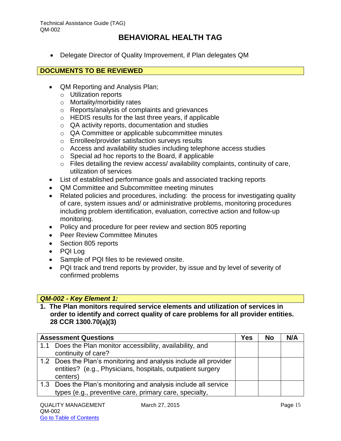Delegate Director of Quality Improvement, if Plan delegates QM

#### **DOCUMENTS TO BE REVIEWED**

- QM Reporting and Analysis Plan;
	- o Utilization reports
	- o Mortality/morbidity rates
	- o Reports/analysis of complaints and grievances
	- o HEDIS results for the last three years, if applicable
	- o QA activity reports, documentation and studies
	- o QA Committee or applicable subcommittee minutes
	- o Enrollee/provider satisfaction surveys results
	- o Access and availability studies including telephone access studies
	- $\circ$  Special ad hoc reports to the Board, if applicable
	- $\circ$  Files detailing the review access/ availability complaints, continuity of care, utilization of services
- List of established performance goals and associated tracking reports
- QM Committee and Subcommittee meeting minutes
- Related policies and procedures, including: the process for investigating quality of care, system issues and/ or administrative problems, monitoring procedures including problem identification, evaluation, corrective action and follow-up monitoring.
- Policy and procedure for peer review and section 805 reporting
- **Peer Review Committee Minutes**
- Section 805 reports
- PQI Log
- Sample of PQI files to be reviewed onsite.
- PQI track and trend reports by provider, by issue and by level of severity of confirmed problems

#### *QM-002 - Key Element 1:*

**1. The Plan monitors required service elements and utilization of services in order to identify and correct quality of care problems for all provider entities. 28 CCR 1300.70(a)(3)**

| <b>Assessment Questions</b>                                      | Yes | <b>No</b> | N/A |
|------------------------------------------------------------------|-----|-----------|-----|
| 1.1 Does the Plan monitor accessibility, availability, and       |     |           |     |
| continuity of care?                                              |     |           |     |
| 1.2 Does the Plan's monitoring and analysis include all provider |     |           |     |
| entities? (e.g., Physicians, hospitals, outpatient surgery       |     |           |     |
| centers)                                                         |     |           |     |
| 1.3 Does the Plan's monitoring and analysis include all service  |     |           |     |
| types (e.g., preventive care, primary care, specialty,           |     |           |     |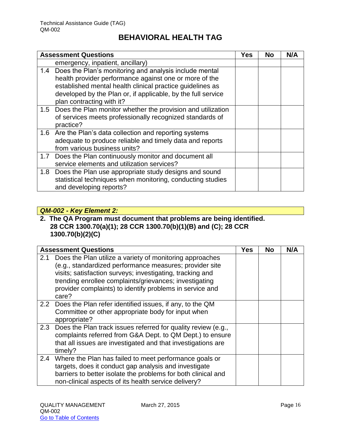|     | <b>Assessment Questions</b>                                     | <b>Yes</b> | <b>No</b> | N/A |
|-----|-----------------------------------------------------------------|------------|-----------|-----|
|     | emergency, inpatient, ancillary)                                |            |           |     |
|     | 1.4 Does the Plan's monitoring and analysis include mental      |            |           |     |
|     | health provider performance against one or more of the          |            |           |     |
|     | established mental health clinical practice guidelines as       |            |           |     |
|     | developed by the Plan or, if applicable, by the full service    |            |           |     |
|     | plan contracting with it?                                       |            |           |     |
|     | 1.5 Does the Plan monitor whether the provision and utilization |            |           |     |
|     | of services meets professionally recognized standards of        |            |           |     |
|     | practice?                                                       |            |           |     |
|     | 1.6 Are the Plan's data collection and reporting systems        |            |           |     |
|     | adequate to produce reliable and timely data and reports        |            |           |     |
|     | from various business units?                                    |            |           |     |
| 1.7 | Does the Plan continuously monitor and document all             |            |           |     |
|     | service elements and utilization services?                      |            |           |     |
|     | 1.8 Does the Plan use appropriate study designs and sound       |            |           |     |
|     | statistical techniques when monitoring, conducting studies      |            |           |     |
|     | and developing reports?                                         |            |           |     |

#### *QM-002 - Key Element 2:*

**2. The QA Program must document that problems are being identified. 28 CCR 1300.70(a)(1); 28 CCR 1300.70(b)(1)(B) and (C); 28 CCR 1300.70(b)(2)(C)** 

|     | <b>Assessment Questions</b>                                                                                                                                                                                                                                                                                     | Yes | <b>No</b> | N/A |
|-----|-----------------------------------------------------------------------------------------------------------------------------------------------------------------------------------------------------------------------------------------------------------------------------------------------------------------|-----|-----------|-----|
| 2.1 | Does the Plan utilize a variety of monitoring approaches<br>(e.g., standardized performance measures; provider site<br>visits; satisfaction surveys; investigating, tracking and<br>trending enrollee complaints/grievances; investigating<br>provider complaints) to identify problems in service and<br>care? |     |           |     |
|     | 2.2 Does the Plan refer identified issues, if any, to the QM<br>Committee or other appropriate body for input when<br>appropriate?                                                                                                                                                                              |     |           |     |
|     | 2.3 Does the Plan track issues referred for quality review (e.g.,<br>complaints referred from G&A Dept. to QM Dept.) to ensure<br>that all issues are investigated and that investigations are<br>timely?                                                                                                       |     |           |     |
| 2.4 | Where the Plan has failed to meet performance goals or<br>targets, does it conduct gap analysis and investigate<br>barriers to better isolate the problems for both clinical and<br>non-clinical aspects of its health service delivery?                                                                        |     |           |     |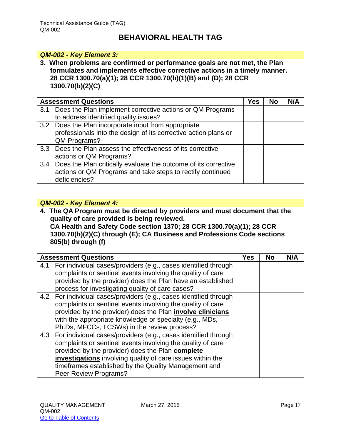#### *QM-002 - Key Element 3:*

**3. When problems are confirmed or performance goals are not met, the Plan formulates and implements effective corrective actions in a timely manner. 28 CCR 1300.70(a)(1); 28 CCR 1300.70(b)(1)(B) and (D); 28 CCR 1300.70(b)(2)(C)**

|     | <b>Assessment Questions</b>                                         | Yes | No | N/A |
|-----|---------------------------------------------------------------------|-----|----|-----|
| 3.1 | Does the Plan implement corrective actions or QM Programs           |     |    |     |
|     | to address identified quality issues?                               |     |    |     |
|     | 3.2 Does the Plan incorporate input from appropriate                |     |    |     |
|     | professionals into the design of its corrective action plans or     |     |    |     |
|     | QM Programs?                                                        |     |    |     |
|     | 3.3 Does the Plan assess the effectiveness of its corrective        |     |    |     |
|     | actions or QM Programs?                                             |     |    |     |
|     | 3.4 Does the Plan critically evaluate the outcome of its corrective |     |    |     |
|     | actions or QM Programs and take steps to rectify continued          |     |    |     |
|     | deficiencies?                                                       |     |    |     |

#### *QM-002 - Key Element 4:*

**4. The QA Program must be directed by providers and must document that the quality of care provided is being reviewed. CA Health and Safety Code section 1370; 28 CCR 1300.70(a)(1); 28 CCR 1300.70(b)(2)(C) through (E); CA Business and Professions Code sections 805(b) through (f)**

| <b>Assessment Questions</b>                                        | Yes | No | N/A |
|--------------------------------------------------------------------|-----|----|-----|
| 4.1 For individual cases/providers (e.g., cases identified through |     |    |     |
| complaints or sentinel events involving the quality of care        |     |    |     |
| provided by the provider) does the Plan have an established        |     |    |     |
| process for investigating quality of care cases?                   |     |    |     |
| 4.2 For individual cases/providers (e.g., cases identified through |     |    |     |
| complaints or sentinel events involving the quality of care        |     |    |     |
| provided by the provider) does the Plan involve clinicians         |     |    |     |
| with the appropriate knowledge or specialty (e.g., MDs,            |     |    |     |
| Ph.Ds, MFCCs, LCSWs) in the review process?                        |     |    |     |
| 4.3 For individual cases/providers (e.g., cases identified through |     |    |     |
| complaints or sentinel events involving the quality of care        |     |    |     |
| provided by the provider) does the Plan <b>complete</b>            |     |    |     |
| investigations involving quality of care issues within the         |     |    |     |
| timeframes established by the Quality Management and               |     |    |     |
| Peer Review Programs?                                              |     |    |     |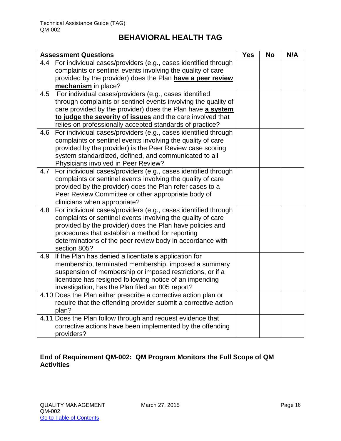|     | <b>Assessment Questions</b>                                     | <b>Yes</b> | <b>No</b> | N/A |
|-----|-----------------------------------------------------------------|------------|-----------|-----|
| 4.4 | For individual cases/providers (e.g., cases identified through  |            |           |     |
|     | complaints or sentinel events involving the quality of care     |            |           |     |
|     | provided by the provider) does the Plan have a peer review      |            |           |     |
|     | mechanism in place?                                             |            |           |     |
| 4.5 | For individual cases/providers (e.g., cases identified          |            |           |     |
|     | through complaints or sentinel events involving the quality of  |            |           |     |
|     | care provided by the provider) does the Plan have a system      |            |           |     |
|     | to judge the severity of issues and the care involved that      |            |           |     |
|     | relies on professionally accepted standards of practice?        |            |           |     |
| 4.6 | For individual cases/providers (e.g., cases identified through  |            |           |     |
|     | complaints or sentinel events involving the quality of care     |            |           |     |
|     | provided by the provider) is the Peer Review case scoring       |            |           |     |
|     | system standardized, defined, and communicated to all           |            |           |     |
|     | Physicians involved in Peer Review?                             |            |           |     |
| 4.7 | For individual cases/providers (e.g., cases identified through  |            |           |     |
|     | complaints or sentinel events involving the quality of care     |            |           |     |
|     | provided by the provider) does the Plan refer cases to a        |            |           |     |
|     | Peer Review Committee or other appropriate body of              |            |           |     |
|     | clinicians when appropriate?                                    |            |           |     |
| 4.8 | For individual cases/providers (e.g., cases identified through  |            |           |     |
|     | complaints or sentinel events involving the quality of care     |            |           |     |
|     | provided by the provider) does the Plan have policies and       |            |           |     |
|     | procedures that establish a method for reporting                |            |           |     |
|     | determinations of the peer review body in accordance with       |            |           |     |
|     | section 805?                                                    |            |           |     |
| 4.9 | If the Plan has denied a licentiate's application for           |            |           |     |
|     | membership, terminated membership, imposed a summary            |            |           |     |
|     | suspension of membership or imposed restrictions, or if a       |            |           |     |
|     | licentiate has resigned following notice of an impending        |            |           |     |
|     | investigation, has the Plan filed an 805 report?                |            |           |     |
|     | 4.10 Does the Plan either prescribe a corrective action plan or |            |           |     |
|     | require that the offending provider submit a corrective action  |            |           |     |
|     | plan?                                                           |            |           |     |
|     | 4.11 Does the Plan follow through and request evidence that     |            |           |     |
|     | corrective actions have been implemented by the offending       |            |           |     |
|     | providers?                                                      |            |           |     |

#### **End of Requirement QM-002: QM Program Monitors the Full Scope of QM Activities**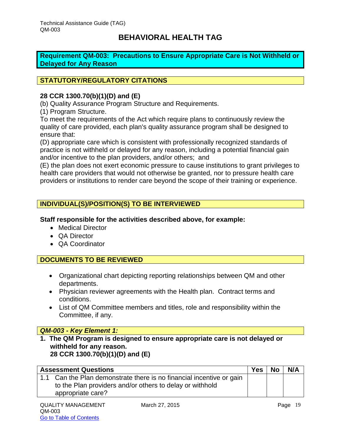<span id="page-19-0"></span>**Requirement QM-003: Precautions to Ensure Appropriate Care is Not Withheld or Delayed for Any Reason**

#### **STATUTORY/REGULATORY CITATIONS**

#### **28 CCR 1300.70(b)(1)(D) and (E)**

(b) Quality Assurance Program Structure and Requirements.

(1) Program Structure.

To meet the requirements of the Act which require plans to continuously review the quality of care provided, each plan's quality assurance program shall be designed to ensure that:

(D) appropriate care which is consistent with professionally recognized standards of practice is not withheld or delayed for any reason, including a potential financial gain and/or incentive to the plan providers, and/or others; and

(E) the plan does not exert economic pressure to cause institutions to grant privileges to health care providers that would not otherwise be granted, nor to pressure health care providers or institutions to render care beyond the scope of their training or experience.

#### **INDIVIDUAL(S)/POSITION(S) TO BE INTERVIEWED**

**Staff responsible for the activities described above, for example:**

- Medical Director
- QA Director
- QA Coordinator

#### **DOCUMENTS TO BE REVIEWED**

- Organizational chart depicting reporting relationships between QM and other departments.
- Physician reviewer agreements with the Health plan. Contract terms and conditions.
- List of QM Committee members and titles, role and responsibility within the Committee, if any.

#### *QM-003 - Key Element 1:*

**1. The QM Program is designed to ensure appropriate care is not delayed or withheld for any reason. 28 CCR 1300.70(b)(1)(D) and (E)**

| <b>Assessment Questions</b>                                                                                                                           | <b>Yes</b> | No | N/A |
|-------------------------------------------------------------------------------------------------------------------------------------------------------|------------|----|-----|
| 1.1 Can the Plan demonstrate there is no financial incentive or gain<br>to the Plan providers and/or others to delay or withhold<br>appropriate care? |            |    |     |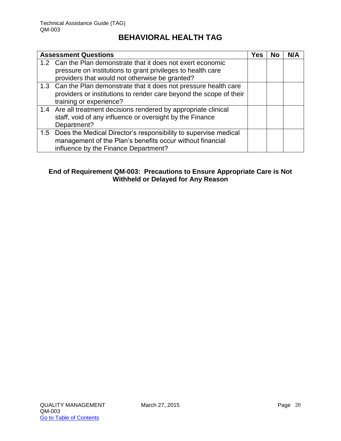| <b>Assessment Questions</b>                                         | Yes | No | N/A |
|---------------------------------------------------------------------|-----|----|-----|
| 1.2 Can the Plan demonstrate that it does not exert economic        |     |    |     |
| pressure on institutions to grant privileges to health care         |     |    |     |
| providers that would not otherwise be granted?                      |     |    |     |
| 1.3 Can the Plan demonstrate that it does not pressure health care  |     |    |     |
| providers or institutions to render care beyond the scope of their  |     |    |     |
| training or experience?                                             |     |    |     |
| 1.4 Are all treatment decisions rendered by appropriate clinical    |     |    |     |
| staff, void of any influence or oversight by the Finance            |     |    |     |
| Department?                                                         |     |    |     |
| 1.5 Does the Medical Director's responsibility to supervise medical |     |    |     |
| management of the Plan's benefits occur without financial           |     |    |     |
| influence by the Finance Department?                                |     |    |     |

#### **End of Requirement QM-003: Precautions to Ensure Appropriate Care is Not Withheld or Delayed for Any Reason**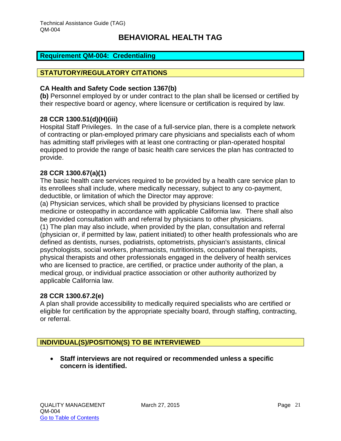#### <span id="page-21-0"></span>**Requirement QM-004: Credentialing**

#### **STATUTORY/REGULATORY CITATIONS**

#### **CA Health and Safety Code section 1367(b)**

**(b)** Personnel employed by or under contract to the plan shall be licensed or certified by their respective board or agency, where licensure or certification is required by law.

#### **28 CCR 1300.51(d)(H)(iii)**

Hospital Staff Privileges. In the case of a full-service plan, there is a complete network of contracting or plan-employed primary care physicians and specialists each of whom has admitting staff privileges with at least one contracting or plan-operated hospital equipped to provide the range of basic health care services the plan has contracted to provide.

#### **28 CCR 1300.67(a)(1)**

The basic health care services required to be provided by a health care service plan to its enrollees shall include, where medically necessary, subject to any co-payment, deductible, or limitation of which the Director may approve:

(a) Physician services, which shall be provided by physicians licensed to practice medicine or osteopathy in accordance with applicable California law. There shall also be provided consultation with and referral by physicians to other physicians. (1) The plan may also include, when provided by the plan, consultation and referral (physician or, if permitted by law, patient initiated) to other health professionals who are defined as dentists, nurses, podiatrists, optometrists, physician's assistants, clinical psychologists, social workers, pharmacists, nutritionists, occupational therapists, physical therapists and other professionals engaged in the delivery of health services who are licensed to practice, are certified, or practice under authority of the plan, a medical group, or individual practice association or other authority authorized by applicable California law.

#### **28 CCR 1300.67.2(e)**

A plan shall provide accessibility to medically required specialists who are certified or eligible for certification by the appropriate specialty board, through staffing, contracting, or referral.

#### **INDIVIDUAL(S)/POSITION(S) TO BE INTERVIEWED**

 **Staff interviews are not required or recommended unless a specific concern is identified.**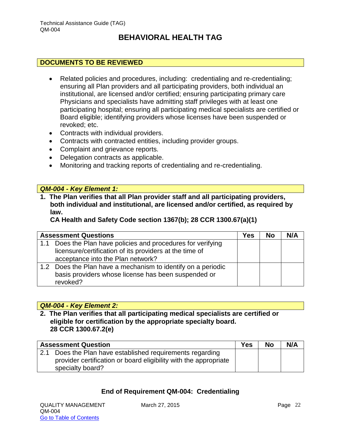#### **DOCUMENTS TO BE REVIEWED**

- Related policies and procedures, including: credentialing and re-credentialing; ensuring all Plan providers and all participating providers, both individual an institutional, are licensed and/or certified; ensuring participating primary care Physicians and specialists have admitting staff privileges with at least one participating hospital; ensuring all participating medical specialists are certified or Board eligible; identifying providers whose licenses have been suspended or revoked; etc.
- Contracts with individual providers.
- Contracts with contracted entities, including provider groups.
- Complaint and grievance reports.
- Delegation contracts as applicable.
- Monitoring and tracking reports of credentialing and re-credentialing.

#### *QM-004 - Key Element 1:*

**1. The Plan verifies that all Plan provider staff and all participating providers, both individual and institutional, are licensed and/or certified, as required by law.** 

**CA Health and Safety Code section 1367(b); 28 CCR 1300.67(a)(1)**

|     | <b>Assessment Questions</b>                                  | Yes | No | N/A |
|-----|--------------------------------------------------------------|-----|----|-----|
| 1.1 | Does the Plan have policies and procedures for verifying     |     |    |     |
|     | licensure/certification of its providers at the time of      |     |    |     |
|     | acceptance into the Plan network?                            |     |    |     |
|     | 1.2 Does the Plan have a mechanism to identify on a periodic |     |    |     |
|     | basis providers whose license has been suspended or          |     |    |     |
|     | revoked?                                                     |     |    |     |

#### *QM-004 - Key Element 2:*

**2. The Plan verifies that all participating medical specialists are certified or eligible for certification by the appropriate specialty board. 28 CCR 1300.67.2(e)**

| <b>Assessment Question</b>                                       | <b>Yes</b> | <b>No</b> | N/A |
|------------------------------------------------------------------|------------|-----------|-----|
| 2.1 Does the Plan have established requirements regarding        |            |           |     |
| provider certification or board eligibility with the appropriate |            |           |     |
| specialty board?                                                 |            |           |     |

#### **End of Requirement QM-004: Credentialing**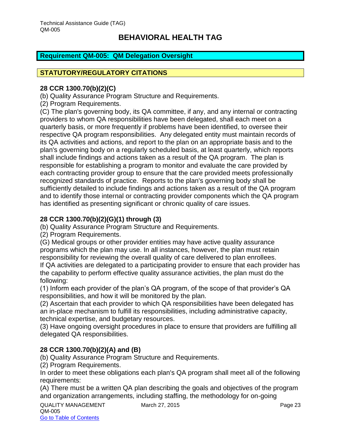#### <span id="page-23-0"></span>**Requirement QM-005: QM Delegation Oversight**

#### **STATUTORY/REGULATORY CITATIONS**

#### **28 CCR 1300.70(b)(2)(C)**

(b) Quality Assurance Program Structure and Requirements.

(2) Program Requirements.

(C) The plan's governing body, its QA committee, if any, and any internal or contracting providers to whom QA responsibilities have been delegated, shall each meet on a quarterly basis, or more frequently if problems have been identified, to oversee their respective QA program responsibilities. Any delegated entity must maintain records of its QA activities and actions, and report to the plan on an appropriate basis and to the plan's governing body on a regularly scheduled basis, at least quarterly, which reports shall include findings and actions taken as a result of the QA program. The plan is responsible for establishing a program to monitor and evaluate the care provided by each contracting provider group to ensure that the care provided meets professionally recognized standards of practice. Reports to the plan's governing body shall be sufficiently detailed to include findings and actions taken as a result of the QA program and to identify those internal or contracting provider components which the QA program has identified as presenting significant or chronic quality of care issues.

#### **28 CCR 1300.70(b)(2)(G)(1) through (3)**

(b) Quality Assurance Program Structure and Requirements.

(2) Program Requirements.

(G) Medical groups or other provider entities may have active quality assurance programs which the plan may use. In all instances, however, the plan must retain responsibility for reviewing the overall quality of care delivered to plan enrollees.

If QA activities are delegated to a participating provider to ensure that each provider has the capability to perform effective quality assurance activities, the plan must do the following:

(1) Inform each provider of the plan's QA program, of the scope of that provider's QA responsibilities, and how it will be monitored by the plan.

(2) Ascertain that each provider to which QA responsibilities have been delegated has an in-place mechanism to fulfill its responsibilities, including administrative capacity, technical expertise, and budgetary resources.

(3) Have ongoing oversight procedures in place to ensure that providers are fulfilling all delegated QA responsibilities.

#### **28 CCR 1300.70(b)(2)(A) and (B)**

(b) Quality Assurance Program Structure and Requirements.

(2) Program Requirements.

In order to meet these obligations each plan's QA program shall meet all of the following requirements:

(A) There must be a written QA plan describing the goals and objectives of the program and organization arrangements, including staffing, the methodology for on-going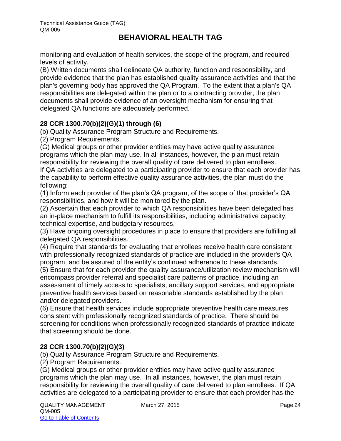monitoring and evaluation of health services, the scope of the program, and required levels of activity.

(B) Written documents shall delineate QA authority, function and responsibility, and provide evidence that the plan has established quality assurance activities and that the plan's governing body has approved the QA Program. To the extent that a plan's QA responsibilities are delegated within the plan or to a contracting provider, the plan documents shall provide evidence of an oversight mechanism for ensuring that delegated QA functions are adequately performed.

#### **28 CCR 1300.70(b)(2)(G)(1) through (6)**

(b) Quality Assurance Program Structure and Requirements.

(2) Program Requirements.

(G) Medical groups or other provider entities may have active quality assurance programs which the plan may use. In all instances, however, the plan must retain responsibility for reviewing the overall quality of care delivered to plan enrollees.

If QA activities are delegated to a participating provider to ensure that each provider has the capability to perform effective quality assurance activities, the plan must do the following:

(1) Inform each provider of the plan's QA program, of the scope of that provider's QA responsibilities, and how it will be monitored by the plan.

(2) Ascertain that each provider to which QA responsibilities have been delegated has an in-place mechanism to fulfill its responsibilities, including administrative capacity, technical expertise, and budgetary resources.

(3) Have ongoing oversight procedures in place to ensure that providers are fulfilling all delegated QA responsibilities.

(4) Require that standards for evaluating that enrollees receive health care consistent with professionally recognized standards of practice are included in the provider's QA program, and be assured of the entity's continued adherence to these standards.

(5) Ensure that for each provider the quality assurance/utilization review mechanism will encompass provider referral and specialist care patterns of practice, including an assessment of timely access to specialists, ancillary support services, and appropriate preventive health services based on reasonable standards established by the plan and/or delegated providers.

(6) Ensure that health services include appropriate preventive health care measures consistent with professionally recognized standards of practice. There should be screening for conditions when professionally recognized standards of practice indicate that screening should be done.

#### **28 CCR 1300.70(b)(2)(G)(3)**

(b) Quality Assurance Program Structure and Requirements.

(2) Program Requirements.

(G) Medical groups or other provider entities may have active quality assurance programs which the plan may use. In all instances, however, the plan must retain responsibility for reviewing the overall quality of care delivered to plan enrollees. If QA activities are delegated to a participating provider to ensure that each provider has the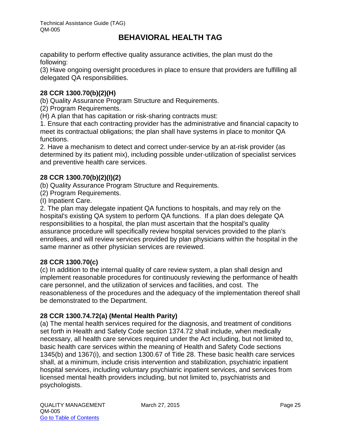capability to perform effective quality assurance activities, the plan must do the following:

(3) Have ongoing oversight procedures in place to ensure that providers are fulfilling all delegated QA responsibilities.

#### **28 CCR 1300.70(b)(2)(H)**

(b) Quality Assurance Program Structure and Requirements.

(2) Program Requirements.

(H) A plan that has capitation or risk-sharing contracts must:

1. Ensure that each contracting provider has the administrative and financial capacity to meet its contractual obligations; the plan shall have systems in place to monitor QA functions.

2. Have a mechanism to detect and correct under-service by an at-risk provider (as determined by its patient mix), including possible under-utilization of specialist services and preventive health care services.

#### **28 CCR 1300.70(b)(2)(I)(2)**

(b) Quality Assurance Program Structure and Requirements.

(2) Program Requirements.

(I) Inpatient Care.

2. The plan may delegate inpatient QA functions to hospitals, and may rely on the hospital's existing QA system to perform QA functions. If a plan does delegate QA responsibilities to a hospital, the plan must ascertain that the hospital's quality assurance procedure will specifically review hospital services provided to the plan's enrollees, and will review services provided by plan physicians within the hospital in the same manner as other physician services are reviewed.

#### **28 CCR 1300.70(c)**

(c) In addition to the internal quality of care review system, a plan shall design and implement reasonable procedures for continuously reviewing the performance of health care personnel, and the utilization of services and facilities, and cost. The reasonableness of the procedures and the adequacy of the implementation thereof shall be demonstrated to the Department.

#### **28 CCR 1300.74.72(a) (Mental Health Parity)**

(a) The mental health services required for the diagnosis, and treatment of conditions set forth in Health and Safety Code section 1374.72 shall include, when medically necessary, all health care services required under the Act including, but not limited to, basic health care services within the meaning of Health and Safety Code sections 1345(b) and 1367(i), and section 1300.67 of Title 28. These basic health care services shall, at a minimum, include crisis intervention and stabilization, psychiatric inpatient hospital services, including voluntary psychiatric inpatient services, and services from licensed mental health providers including, but not limited to, psychiatrists and psychologists.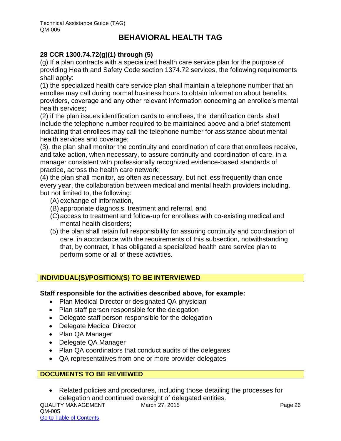#### **28 CCR 1300.74.72(g)(1) through (5)**

(g) If a plan contracts with a specialized health care service plan for the purpose of providing Health and Safety Code section 1374.72 services, the following requirements shall apply:

(1) the specialized health care service plan shall maintain a telephone number that an enrollee may call during normal business hours to obtain information about benefits, providers, coverage and any other relevant information concerning an enrollee's mental health services;

(2) if the plan issues identification cards to enrollees, the identification cards shall include the telephone number required to be maintained above and a brief statement indicating that enrollees may call the telephone number for assistance about mental health services and coverage;

(3). the plan shall monitor the continuity and coordination of care that enrollees receive, and take action, when necessary, to assure continuity and coordination of care, in a manager consistent with professionally recognized evidence-based standards of practice, across the health care network;

(4) the plan shall monitor, as often as necessary, but not less frequently than once every year, the collaboration between medical and mental health providers including, but not limited to, the following:

- (A) exchange of information,
- (B) appropriate diagnosis, treatment and referral, and
- (C)access to treatment and follow-up for enrollees with co-existing medical and mental health disorders;
- (5) the plan shall retain full responsibility for assuring continuity and coordination of care, in accordance with the requirements of this subsection, notwithstanding that, by contract, it has obligated a specialized health care service plan to perform some or all of these activities.

#### **INDIVIDUAL(S)/POSITION(S) TO BE INTERVIEWED**

#### **Staff responsible for the activities described above, for example:**

- Plan Medical Director or designated QA physician
- Plan staff person responsible for the delegation
- Delegate staff person responsible for the delegation
- Delegate Medical Director
- Plan QA Manager
- Delegate QA Manager
- Plan QA coordinators that conduct audits of the delegates
- QA representatives from one or more provider delegates

#### **DOCUMENTS TO BE REVIEWED**

 Related policies and procedures, including those detailing the processes for delegation and continued oversight of delegated entities.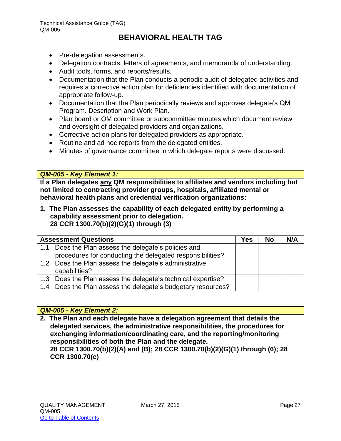- Pre-delegation assessments.
- Delegation contracts, letters of agreements, and memoranda of understanding.
- Audit tools, forms, and reports/results.
- Documentation that the Plan conducts a periodic audit of delegated activities and requires a corrective action plan for deficiencies identified with documentation of appropriate follow-up.
- Documentation that the Plan periodically reviews and approves delegate's QM Program. Description and Work Plan.
- Plan board or QM committee or subcommittee minutes which document review and oversight of delegated providers and organizations.
- Corrective action plans for delegated providers as appropriate.
- Routine and ad hoc reports from the delegated entities.
- Minutes of governance committee in which delegate reports were discussed.

#### *QM-005 - Key Element 1:*

**If a Plan delegates any QM responsibilities to affiliates and vendors including but not limited to contracting provider groups, hospitals, affiliated mental or behavioral health plans and credential verification organizations:** 

**1. The Plan assesses the capability of each delegated entity by performing a capability assessment prior to delegation. 28 CCR 1300.70(b)(2)(G)(1) through (3)**

|     | <b>Assessment Questions</b>                                  | Yes | <b>No</b> | N/A |
|-----|--------------------------------------------------------------|-----|-----------|-----|
| 1.1 | Does the Plan assess the delegate's policies and             |     |           |     |
|     | procedures for conducting the delegated responsibilities?    |     |           |     |
|     | 1.2 Does the Plan assess the delegate's administrative       |     |           |     |
|     | capabilities?                                                |     |           |     |
|     | 1.3 Does the Plan assess the delegate's technical expertise? |     |           |     |
|     | 1.4 Does the Plan assess the delegate's budgetary resources? |     |           |     |

#### *QM-005 - Key Element 2:*

**2. The Plan and each delegate have a delegation agreement that details the delegated services, the administrative responsibilities, the procedures for exchanging information/coordinating care, and the reporting/monitoring responsibilities of both the Plan and the delegate. 28 CCR 1300.70(b)(2)(A) and (B); 28 CCR 1300.70(b)(2)(G)(1) through (6); 28** 

**CCR 1300.70(c)**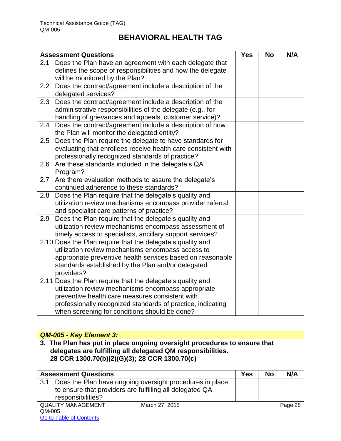|     | <b>Assessment Questions</b>                                   | <b>Yes</b> | <b>No</b> | N/A |
|-----|---------------------------------------------------------------|------------|-----------|-----|
| 2.1 | Does the Plan have an agreement with each delegate that       |            |           |     |
|     | defines the scope of responsibilities and how the delegate    |            |           |     |
|     | will be monitored by the Plan?                                |            |           |     |
|     | 2.2 Does the contract/agreement include a description of the  |            |           |     |
|     | delegated services?                                           |            |           |     |
| 2.3 | Does the contract/agreement include a description of the      |            |           |     |
|     | administrative responsibilities of the delegate (e.g., for    |            |           |     |
|     | handling of grievances and appeals, customer service)?        |            |           |     |
| 2.4 | Does the contract/agreement include a description of how      |            |           |     |
|     | the Plan will monitor the delegated entity?                   |            |           |     |
| 2.5 | Does the Plan require the delegate to have standards for      |            |           |     |
|     | evaluating that enrollees receive health care consistent with |            |           |     |
|     | professionally recognized standards of practice?              |            |           |     |
| 2.6 | Are these standards included in the delegate's QA             |            |           |     |
|     | Program?                                                      |            |           |     |
| 2.7 | Are there evaluation methods to assure the delegate's         |            |           |     |
|     | continued adherence to these standards?                       |            |           |     |
| 2.8 | Does the Plan require that the delegate's quality and         |            |           |     |
|     | utilization review mechanisms encompass provider referral     |            |           |     |
|     | and specialist care patterns of practice?                     |            |           |     |
| 2.9 | Does the Plan require that the delegate's quality and         |            |           |     |
|     | utilization review mechanisms encompass assessment of         |            |           |     |
|     | timely access to specialists, ancillary support services?     |            |           |     |
|     | 2.10 Does the Plan require that the delegate's quality and    |            |           |     |
|     | utilization review mechanisms encompass access to             |            |           |     |
|     | appropriate preventive health services based on reasonable    |            |           |     |
|     | standards established by the Plan and/or delegated            |            |           |     |
|     | providers?                                                    |            |           |     |
|     | 2.11 Does the Plan require that the delegate's quality and    |            |           |     |
|     | utilization review mechanisms encompass appropriate           |            |           |     |
|     | preventive health care measures consistent with               |            |           |     |
|     | professionally recognized standards of practice, indicating   |            |           |     |
|     | when screening for conditions should be done?                 |            |           |     |

#### *QM-005 - Key Element 3:*

Go to Table of Contents

**3. The Plan has put in place ongoing oversight procedures to ensure that delegates are fulfilling all delegated QM responsibilities. 28 CCR 1300.70(b)(2)(G)(3); 28 CCR 1300.70(c)**

|     | <b>Assessment Questions</b>                              | Yes | <b>No</b> | N/A     |
|-----|----------------------------------------------------------|-----|-----------|---------|
| 3.1 | Does the Plan have ongoing oversight procedures in place |     |           |         |
|     | to ensure that providers are fulfilling all delegated QA |     |           |         |
|     | responsibilities?                                        |     |           |         |
|     | <b>QUALITY MANAGEMENT</b><br>March 27, 2015              |     |           | Page 28 |
|     | QM-005                                                   |     |           |         |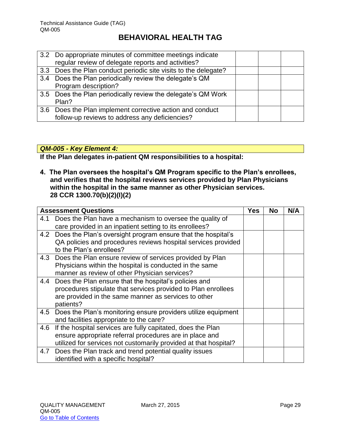|     | 3.2 Do appropriate minutes of committee meetings indicate       |  |  |
|-----|-----------------------------------------------------------------|--|--|
|     | regular review of delegate reports and activities?              |  |  |
|     | 3.3 Does the Plan conduct periodic site visits to the delegate? |  |  |
| 3.4 | Does the Plan periodically review the delegate's QM             |  |  |
|     | Program description?                                            |  |  |
|     | 3.5 Does the Plan periodically review the delegate's QM Work    |  |  |
|     | Plan?                                                           |  |  |
|     | 3.6 Does the Plan implement corrective action and conduct       |  |  |
|     | follow-up reviews to address any deficiencies?                  |  |  |

#### *QM-005 - Key Element 4:*

**If the Plan delegates in-patient QM responsibilities to a hospital:**

**4. The Plan oversees the hospital's QM Program specific to the Plan's enrollees, and verifies that the hospital reviews services provided by Plan Physicians within the hospital in the same manner as other Physician services. 28 CCR 1300.70(b)(2)(I)(2)**

|     | <b>Assessment Questions</b>                                      | <b>Yes</b> | No | N/A |
|-----|------------------------------------------------------------------|------------|----|-----|
| 4.1 | Does the Plan have a mechanism to oversee the quality of         |            |    |     |
|     | care provided in an inpatient setting to its enrollees?          |            |    |     |
|     | 4.2 Does the Plan's oversight program ensure that the hospital's |            |    |     |
|     | QA policies and procedures reviews hospital services provided    |            |    |     |
|     | to the Plan's enrollees?                                         |            |    |     |
| 4.3 | Does the Plan ensure review of services provided by Plan         |            |    |     |
|     | Physicians within the hospital is conducted in the same          |            |    |     |
|     | manner as review of other Physician services?                    |            |    |     |
| 4.4 | Does the Plan ensure that the hospital's policies and            |            |    |     |
|     | procedures stipulate that services provided to Plan enrollees    |            |    |     |
|     | are provided in the same manner as services to other             |            |    |     |
|     | patients?                                                        |            |    |     |
| 4.5 | Does the Plan's monitoring ensure providers utilize equipment    |            |    |     |
|     | and facilities appropriate to the care?                          |            |    |     |
| 4.6 | If the hospital services are fully capitated, does the Plan      |            |    |     |
|     | ensure appropriate referral procedures are in place and          |            |    |     |
|     | utilized for services not customarily provided at that hospital? |            |    |     |
| 4.7 | Does the Plan track and trend potential quality issues           |            |    |     |
|     | identified with a specific hospital?                             |            |    |     |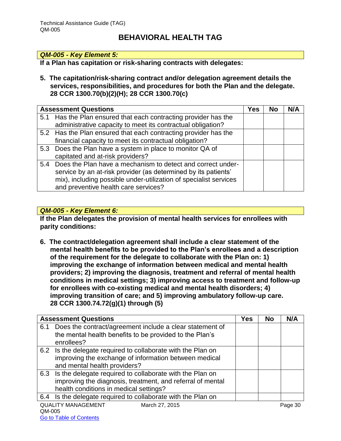#### *QM-005 - Key Element 5:*

**If a Plan has capitation or risk-sharing contracts with delegates:**

**5. The capitation/risk-sharing contract and/or delegation agreement details the services, responsibilities, and procedures for both the Plan and the delegate. 28 CCR 1300.70(b)(2)(H); 28 CCR 1300.70(c)**

| <b>Assessment Questions</b>                                       | Yes | No | N/A |
|-------------------------------------------------------------------|-----|----|-----|
| 5.1 Has the Plan ensured that each contracting provider has the   |     |    |     |
| administrative capacity to meet its contractual obligation?       |     |    |     |
| 5.2 Has the Plan ensured that each contracting provider has the   |     |    |     |
| financial capacity to meet its contractual obligation?            |     |    |     |
| 5.3 Does the Plan have a system in place to monitor QA of         |     |    |     |
| capitated and at-risk providers?                                  |     |    |     |
| 5.4 Does the Plan have a mechanism to detect and correct under-   |     |    |     |
| service by an at-risk provider (as determined by its patients'    |     |    |     |
| mix), including possible under-utilization of specialist services |     |    |     |
| and preventive health care services?                              |     |    |     |

#### *QM-005 - Key Element 6:*

**If the Plan delegates the provision of mental health services for enrollees with parity conditions:**

**6. The contract/delegation agreement shall include a clear statement of the mental health benefits to be provided to the Plan's enrollees and a description of the requirement for the delegate to collaborate with the Plan on: 1) improving the exchange of information between medical and mental health providers; 2) improving the diagnosis, treatment and referral of mental health conditions in medical settings; 3) improving access to treatment and follow-up for enrollees with co-existing medical and mental health disorders; 4) improving transition of care; and 5) improving ambulatory follow-up care. 28 CCR 1300.74.72(g)(1) through (5)**

|                             | <b>Assessment Questions</b>                                  | <b>Yes</b> | <b>No</b> | N/A     |
|-----------------------------|--------------------------------------------------------------|------------|-----------|---------|
| 6.1                         | Does the contract/agreement include a clear statement of     |            |           |         |
|                             | the mental health benefits to be provided to the Plan's      |            |           |         |
|                             | enrollees?                                                   |            |           |         |
|                             | 6.2 Is the delegate required to collaborate with the Plan on |            |           |         |
|                             | improving the exchange of information between medical        |            |           |         |
|                             | and mental health providers?                                 |            |           |         |
|                             | 6.3 Is the delegate required to collaborate with the Plan on |            |           |         |
|                             | improving the diagnosis, treatment, and referral of mental   |            |           |         |
|                             | health conditions in medical settings?                       |            |           |         |
| 6.4                         | Is the delegate required to collaborate with the Plan on     |            |           |         |
| $\sim$ $\sim$ $\sim$ $\sim$ | <b>QUALITY MANAGEMENT</b><br>March 27, 2015                  |            |           | Page 30 |